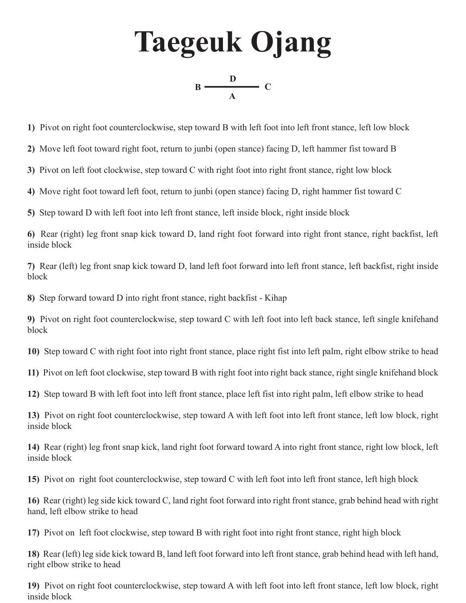**Taegeuk Ojang A**  $B \longrightarrow C$ **D**

**1)** Pivot on right foot counterclockwise, step toward B with left foot into left front stance, left low block

**2)** Move left foot toward right foot, return to junbi (open stance) facing D, left hammer fist toward B

**3)** Pivot on left foot clockwise, step toward C with right foot into right front stance, right low block

**4)** Move right foot toward left foot, return to junbi (open stance) facing D, right hammer fist toward C

**5)** Step toward D with left foot into left front stance, left inside block, right inside block

**6)** Rear (right) leg front snap kick toward D, land right foot forward into right front stance, right backfist, left inside block

**7)** Rear (left) leg front snap kick toward D, land left foot forward into left front stance, left backfist, right inside block

**8)** Step forward toward D into right front stance, right backfist - Kihap

**9)** Pivot on right foot counterclockwise, step toward C with left foot into left back stance, left single knifehand block

**10)** Step toward C with right foot into right front stance, place right fist into left palm, right elbow strike to head

**11)** Pivot on left foot clockwise, step toward B with right foot into right back stance, right single knifehand block

**12)** Step toward B with left foot into left front stance, place left fist into right palm, left elbow strike to head

**13)** Pivot on right foot counterclockwise, step toward A with left foot into left front stance, left low block, right inside block

**14)** Rear (right) leg front snap kick, land right foot forward toward A into right front stance, right low block, left inside block

**15)** Pivot on right foot counterclockwise, step toward C with left foot into left front stance, left high block

**16)** Rear (right) leg side kick toward C, land right foot forward into right front stance, grab behind head with right hand, left elbow strike to head

**17)** Pivot on left foot clockwise, step toward B with right foot into right front stance, right high block

**18)** Rear (left) leg side kick toward B, land left foot forward into left front stance, grab behind head with left hand, right elbow strike to head

**19)** Pivot on right foot counterclockwise, step toward A with left foot into left front stance, left low block, right inside block